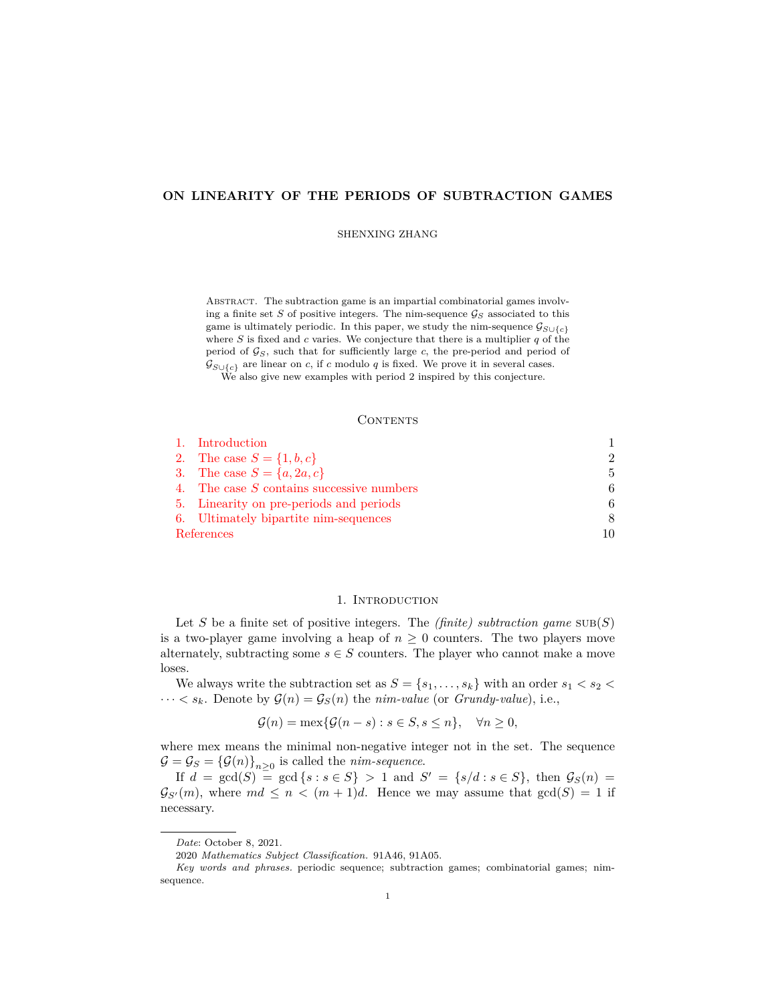# **ON LINEARITY OF THE PERIODS OF SUBTRACTION GAMES**

SHENXING ZHANG

Abstract. The subtraction game is an impartial combinatorial games involving a finite set  $S$  of positive integers. The nim-sequence  $\mathcal{G}_S$  associated to this game is ultimately periodic. In this paper, we study the nim-sequence  $\mathcal{G}_{S\cup \{c\}}$ where *S* is fixed and *c* varies. We conjecture that there is a multiplier *q* of the period of *GS*, such that for sufficiently large *c*, the pre-period and period of  $\mathcal{G}_{S \cup \{c\}}$  are linear on *c*, if *c* modulo *q* is fixed. We prove it in several cases.

We also give new examples with period 2 inspired by this conjecture.

## CONTENTS

|            | 1. Introduction                             |                             |
|------------|---------------------------------------------|-----------------------------|
|            | 2. The case $S = \{1, b, c\}$               | $\mathcal{D}_{\mathcal{L}}$ |
|            | 3. The case $S = \{a, 2a, c\}$              | 5.                          |
|            | 4. The case $S$ contains successive numbers | 6.                          |
|            | 5. Linearity on pre-periods and periods     | 6.                          |
|            | 6. Ultimately bipartite nim-sequences       | 8                           |
| References |                                             |                             |

# 1. INTRODUCTION

<span id="page-0-0"></span>Let *S* be a finite set of positive integers. The *(finite) subtraction game*  $\text{SUB}(S)$ is a two-player game involving a heap of  $n \geq 0$  counters. The two players move alternately, subtracting some  $s \in S$  counters. The player who cannot make a move loses.

We always write the subtraction set as  $S = \{s_1, \ldots, s_k\}$  with an order  $s_1 < s_2$  $\cdots < s_k$ . Denote by  $\mathcal{G}(n) = \mathcal{G}_S(n)$  the *nim-value* (or *Grundy-value*), i.e.,

$$
\mathcal{G}(n) = \max\{\mathcal{G}(n-s) : s \in S, s \le n\}, \quad \forall n \ge 0,
$$

where mex means the minimal non-negative integer not in the set. The sequence  $G = G_S = \{G(n)\}_{n \geq 0}$  is called the *nim-sequence*.

If  $d = \gcd(S) = \gcd\{s : s \in S\} > 1$  and  $S' = \{s/d : s \in S\}$ , then  $\mathcal{G}_S(n) =$  $\mathcal{G}_{S'}(m)$ , where  $md \leq n < (m+1)d$ . Hence we may assume that  $gcd(S) = 1$  if necessary.

*Date*: October 8, 2021.

<sup>2020</sup> *Mathematics Subject Classification.* 91A46, 91A05.

*Key words and phrases.* periodic sequence; subtraction games; combinatorial games; nimsequence.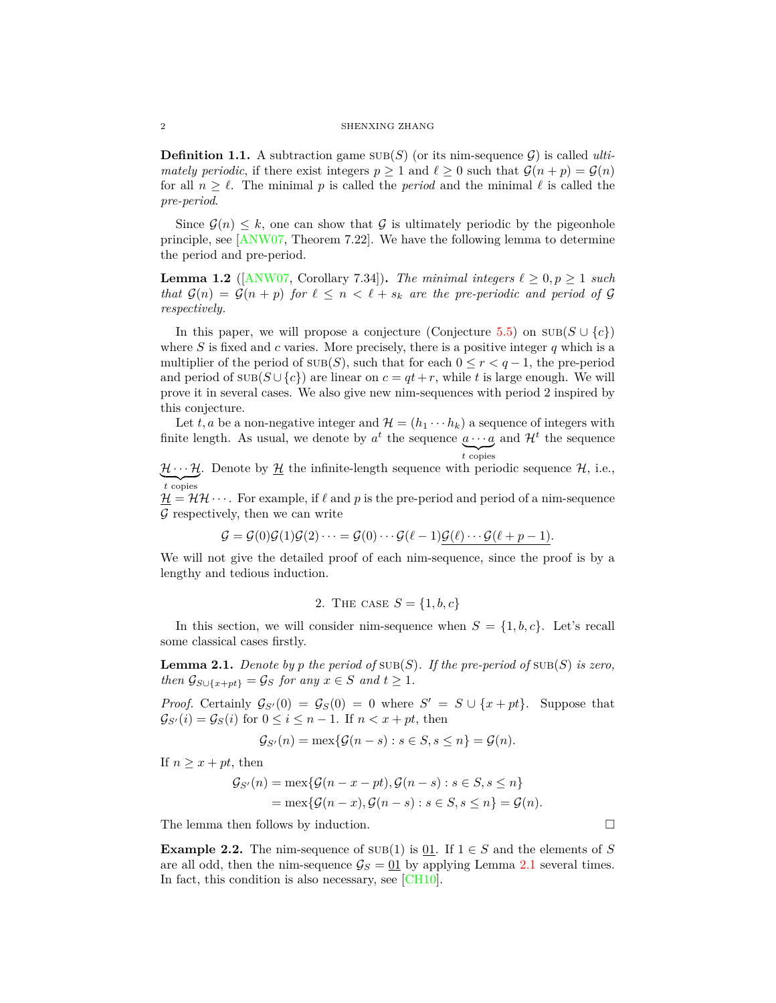**Definition 1.1.** A subtraction game  $\text{SUB}(S)$  (or its nim-sequence  $\mathcal{G}$ ) is called *ultimately periodic*, if there exist integers  $p \geq 1$  and  $\ell \geq 0$  such that  $\mathcal{G}(n+p) = \mathcal{G}(n)$ for all  $n \geq \ell$ . The minimal p is called the period and the minimal  $\ell$  is called the *pre-period*.

Since  $\mathcal{G}(n) \leq k$ , one can show that  $\mathcal G$  is ultimately periodic by the pigeonhole principle, see [[ANW07](#page-9-1), Theorem 7.22]. We have the following lemma to determine the period and pre-period.

**Lemma 1.2** ( $[ANW07, Corollary 7.34]$  $[ANW07, Corollary 7.34]$ ). *The minimal integers*  $\ell \geq 0, p \geq 1$  *such that*  $\mathcal{G}(n) = \mathcal{G}(n+p)$  *for*  $\ell \leq n < \ell + s_k$  *are the pre-periodic and period of*  $\mathcal{G}$ *respectively.*

In this paper, we will propose a conjecture (Conjecture [5.5\)](#page-6-0) on  $\text{SUB}(S \cup \{c\})$ where  $S$  is fixed and  $c$  varies. More precisely, there is a positive integer  $q$  which is a multiplier of the period of  $\text{SUB}(S)$ , such that for each  $0 \leq r < q-1$ , the pre-period and period of  $\text{SUB}(S \cup \{c\})$  are linear on  $c = qt + r$ , while *t* is large enough. We will prove it in several cases. We also give new nim-sequences with period 2 inspired by this conjecture.

Let *t*, *a* be a non-negative integer and  $\mathcal{H} = (h_1 \cdots h_k)$  a sequence of integers with finite length. As usual, we denote by  $a^t$  the sequence  $a \cdots a$  and  $\mathcal{H}^t$  the sequence  $\sum_{t \text{ copies}}$ 

 $\mathcal{H} \cdots \mathcal{H}$ . Denote by  $\mathcal{H}$  the infinite-length sequence with periodic sequence  $\mathcal{H}$ , i.e., *t* copies

 $H = H$ *H*  $\cdots$ . For example, if  $\ell$  and  $p$  is the pre-period and period of a nim-sequence *G* respectively, then we can write

$$
\mathcal{G} = \mathcal{G}(0)\mathcal{G}(1)\mathcal{G}(2)\cdots = \mathcal{G}(0)\cdots\mathcal{G}(\ell-1)\mathcal{G}(\ell)\cdots\mathcal{G}(\ell+p-1).
$$

We will not give the detailed proof of each nim-sequence, since the proof is by a lengthy and tedious induction.

2. THE CASE 
$$
S = \{1, b, c\}
$$

<span id="page-1-0"></span>In this section, we will consider nim-sequence when  $S = \{1, b, c\}$ . Let's recall some classical cases firstly.

<span id="page-1-1"></span>**Lemma 2.1.** Denote by p the period of  $\text{SUB}(S)$ . If the pre-period of  $\text{SUB}(S)$  is zero, *then*  $\mathcal{G}_{S \cup \{x+pt\}} = \mathcal{G}_S$  *for any*  $x \in S$  *and*  $t \geq 1$ *.* 

*Proof.* Certainly  $\mathcal{G}_{S'}(0) = \mathcal{G}_S(0) = 0$  where  $S' = S \cup \{x + pt\}$ . Suppose that  $\mathcal{G}_{S'}(i) = \mathcal{G}_S(i)$  for  $0 \leq i \leq n-1$ . If  $n \leq x + pt$ , then

$$
\mathcal{G}_{S'}(n) = \max\{\mathcal{G}(n-s) : s \in S, s \leq n\} = \mathcal{G}(n).
$$

If  $n \geq x + pt$ , then

$$
\mathcal{G}_{S'}(n) = \max\{\mathcal{G}(n-x - pt), \mathcal{G}(n-s) : s \in S, s \le n\}
$$
  
= 
$$
\max\{\mathcal{G}(n-x), \mathcal{G}(n-s) : s \in S, s \le n\} = \mathcal{G}(n).
$$

The lemma then follows by induction.

<span id="page-1-2"></span>**Example 2.2.** The nim-sequence of  $\text{SUB}(1)$  is  $\underline{01}$ . If  $1 \in S$  and the elements of *S* are all odd, then the nim-sequence  $\mathcal{G}_S = 01$  by applying Lemma [2.1](#page-1-1) several times. In fact, this condition is also necessary, see [[CH10](#page-9-2)].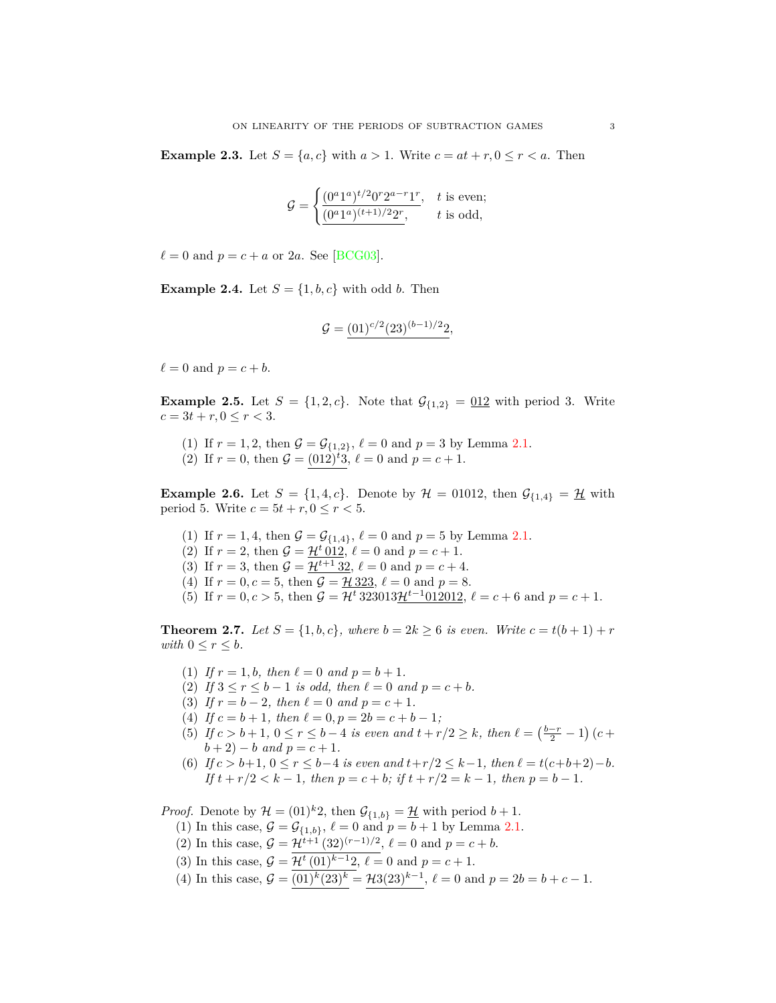**Example 2.3.** Let  $S = \{a, c\}$  with  $a > 1$ . Write  $c = at + r, 0 \le r < a$ . Then

$$
\mathcal{G} = \begin{cases} \frac{(0^a 1^a)^{t/2} 0^r 2^{a-r} 1^r}{(0^a 1^a)^{(t+1)/2} 2^r}, & t \text{ is even;} \\ \end{cases}
$$

 $\ell = 0$  and  $p = c + a$  or 2*a*. See [\[BCG03](#page-9-3)].

<span id="page-2-0"></span>**Example 2.4.** Let  $S = \{1, b, c\}$  with odd *b*. Then

$$
\mathcal{G} = (01)^{c/2} (23)^{(b-1)/2} 2,
$$

 $l = 0$  and  $p = c + b$ .

<span id="page-2-1"></span>**Example 2.5.** Let  $S = \{1, 2, c\}$ . Note that  $\mathcal{G}_{\{1,2\}} = 0.12$  with period 3. Write  $c = 3t + r, 0 \leq r < 3.$ 

- (1) If  $r = 1, 2$ , then  $\mathcal{G} = \mathcal{G}_{\{1,2\}}, \ell = 0$  and  $p = 3$  by Lemma [2.1](#page-1-1).
- (2) If  $r = 0$ , then  $\mathcal{G} = (0.012)^t 3$ ,  $\ell = 0$  and  $p = c + 1$ .

<span id="page-2-2"></span>**Example 2.6.** Let  $S = \{1, 4, c\}$ . Denote by  $\mathcal{H} = 01012$ , then  $\mathcal{G}_{\{1,4\}} = \mathcal{H}$  with period 5. Write  $c = 5t + r, 0 \leq r < 5$ .

- (1) If  $r = 1, 4$ , then  $\mathcal{G} = \mathcal{G}_{\{1,4\}}, \ell = 0$  and  $p = 5$  by Lemma [2.1](#page-1-1).
- (2) If  $r = 2$ , then  $\mathcal{G} = \mathcal{H}^t \, 012$ ,  $\ell = 0$  and  $p = c + 1$ .
- (3) If  $r = 3$ , then  $\mathcal{G} = \mathcal{H}^{t+1} 32$ ,  $\ell = 0$  and  $p = c + 4$ .
- (4) If  $r = 0, c = 5$ , then  $\mathcal{G} = \mathcal{H} 323, \ell = 0$  and  $p = 8$ .
- (5) If  $r = 0, c > 5$ , then  $\mathcal{G} = \mathcal{H}^t 323013 \mathcal{H}^{t-1} 012012$ ,  $\ell = c + 6$  and  $p = c + 1$ .

<span id="page-2-3"></span>**Theorem 2.7.** Let  $S = \{1, b, c\}$ , where  $b = 2k \ge 6$  is even. Write  $c = t(b + 1) + r$ *with*  $0 \leq r \leq b$ *.* 

- (1) If  $r = 1, b$ , then  $\ell = 0$  and  $p = b + 1$ .
- (2) *If*  $3 \le r \le b 1$  *is odd, then*  $\ell = 0$  *and*  $p = c + b$ .
- (3) If  $r = b 2$ , then  $\ell = 0$  and  $p = c + 1$ .
- (4) *If*  $c = b + 1$ *, then*  $\ell = 0, p = 2b = c + b 1$ *;*
- (5) *If*  $c > b + 1$ ,  $0 \le r \le b 4$  *is even and*  $t + r/2 \ge k$ , *then*  $\ell = \left(\frac{b-r}{2} 1\right)(c +$  $b + 2$ ) *− b and*  $p = c + 1$ *.*
- (6) If  $c > b+1$ ,  $0 \le r \le b-4$  is even and  $t + r/2 \le k-1$ , then  $\ell = t(c+b+2)-b$ . *If*  $t + r/2 < k - 1$ , then  $p = c + b$ ; if  $t + r/2 = k - 1$ , then  $p = b - 1$ .

*Proof.* Denote by  $\mathcal{H} = (01)^k 2$ , then  $\mathcal{G}_{\{1,b\}} = \underline{\mathcal{H}}$  with period  $b + 1$ .

- (1) In this case,  $\mathcal{G} = \mathcal{G}_{\{1,b\}}, \ell = 0$  and  $p = b + 1$  by Lemma [2.1.](#page-1-1)
- (2) In this case,  $G = H^{t+1} (32)^{(r-1)/2}$ ,  $\ell = 0$  and  $p = c + b$ .
- (3) In this case,  $G = H^t(01)^{k-1}2$ ,  $\ell = 0$  and  $p = c + 1$ .
- (4) In this case,  $G = (01)^k (23)^k = \mathcal{H}3(23)^{k-1}$ ,  $\ell = 0$  and  $p = 2b = b + c 1$ .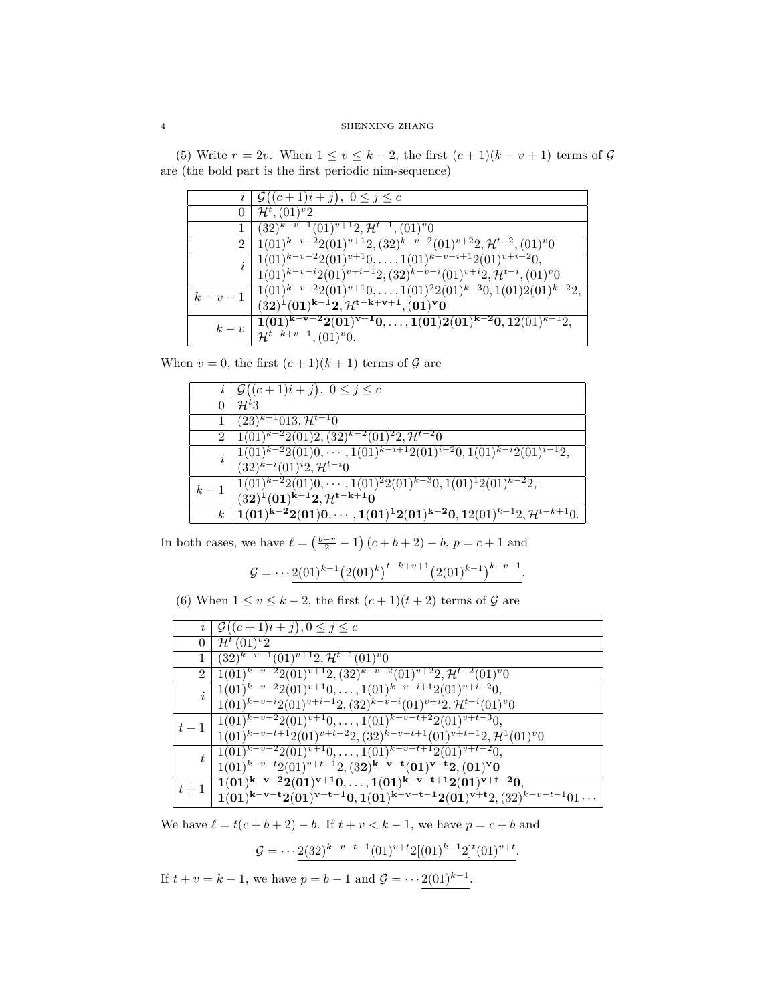(5) Write  $r = 2v$ . When  $1 \le v \le k-2$ , the first  $(c+1)(k-v+1)$  terms of  $\mathcal G$ are (the bold part is the first periodic nim-sequence)

|                | $i   \mathcal{G}((c+1)i + j), 0 \leq j \leq c$                                        |
|----------------|---------------------------------------------------------------------------------------|
| 0 <sup>1</sup> | $\mathcal{H}^t$ , $(01)^v 2$                                                          |
|                | $(32)^{k-v-1}(01)^{v+1}2, \mathcal{H}^{t-1}, (01)^{v}0$                               |
|                | $2   1(01)^{k-v-2}(01)^{v+1}2, (32)^{k-v-2}(01)^{v+2}2, \mathcal{H}^{t-2}, (01)^{v}0$ |
| i              | $1(01)^{k-v-2}2(01)^{v+1}0, \ldots, 1(01)^{k-v-i+1}2(01)^{v+i-2}0,$                   |
|                | $1(01)^{k-v-i}2(01)^{v+i-1}2, (32)^{k-v-i}(01)^{v+i}2, \mathcal{H}^{t-i}, (01)^{v}0$  |
| $k-v-1$        | $\frac{1}{(01)^{k-v-2}(01)^{v+1}0,\ldots,1(01)^{2}(01)^{k-3}0,1(01)(201)^{k-2}2,$     |
|                | $(32)^1(01)^{k-1}$ 2, H <sup>t-k+v+1</sup> , $(01)^{v}0$                              |
|                | $1(01)^{k-v-2}2(01)^{v+1}0, \ldots, 1(01)2(01)^{k-2}0, 12(01)^{k-1}2,$                |
| $k-v$          | $\mathcal{H}^{t-k+v-1}$ , $(01)^{v}0$ .                                               |

When  $v = 0$ , the first  $(c+1)(k+1)$  terms of  $\mathcal G$  are

| i <sub>1</sub> | $\vert \mathcal{G}((c+1)i+j), 0 \leq j \leq c$                                       |
|----------------|--------------------------------------------------------------------------------------|
|                |                                                                                      |
| 0              | $\mathcal{H}^t3$                                                                     |
|                | $(23)^{k-1}013, \mathcal{H}^{t-1}0$                                                  |
| 2 <sub>1</sub> | $1(01)^{k-2}2(01)2, (32)^{k-2}(01)^22, \mathcal{H}^{t-2}0$                           |
| i              | $1(01)^{k-2}2(01)0,\cdots,1(01)^{k-i+1}2(01)^{i-2}0,1(01)^{k-i}2(01)^{i-1}2,$        |
|                | $(32)^{k-i}(01)^{i}2, \mathcal{H}^{t-i}0$                                            |
| $k-1$          | $1(01)^{k-2}2(01)0,\cdots,1(01)^{2}2(01)^{k-3}0,1(01)^{1}2(01)^{k-2}2,$              |
|                | $(32)^1(01)^{k-1}2, \mathcal{H}^{t-k+1}0$                                            |
| k <sub>1</sub> | $1(01)^{k-2}2(01)0,\cdots,1(01)^{1}2(01)^{k-2}0,12(01)^{k-1}2,\mathcal{H}^{t-k+1}0.$ |

In both cases, we have  $\ell = \left(\frac{b-r}{2} - 1\right)(c + b + 2) - b$ ,  $p = c + 1$  and

$$
\mathcal{G} = \cdots \underline{2(01)^{k-1} (2(01)^k)}^{t-k+v+1} (2(01)^{k-1})^{k-v-1}.
$$

(6) When  $1 \le v \le k-2$ , the first  $(c+1)(t+2)$  terms of  $\mathcal G$  are

|           | $i \mid \mathcal{G}((c+1)i+j), 0 \leq j \leq c$                                            |
|-----------|--------------------------------------------------------------------------------------------|
|           | $0 \mid \mathcal{H}^{t}(01)^{v_2}$                                                         |
|           | $(32)^{k-v-1}(01)^{v+1}2, \mathcal{H}^{t-1}(01)^{v}0$                                      |
|           | $2   1(01)^{k-v-2}2(01)^{v+1}2, (32)^{k-v-2}(01)^{v+2}2, \mathcal{H}^{t-2}(01)^{v}0$       |
| $\dot{i}$ | $\mid 1(01)^{k-v-2}2(01)^{v+1}0, \ldots, 1(01)^{k-v-i+1}2(01)^{v+i-2}0,$                   |
|           | $1(01)^{k-v-i}2(01)^{v+i-1}2, (32)^{k-v-i}(01)^{v+i}2, \mathcal{H}^{t-i}(01)^{v}0$         |
| $t-1$     | $1(01)^{k-v-2}2(01)^{v+1}0, \ldots, 1(01)^{k-v-t+2}2(01)^{v+t-3}0,$                        |
|           | $1(01)^{k-v-t+1}2(01)^{v+t-2}2$ , $(32)^{k-v-t+1}(01)^{v+t-1}2$ , $\mathcal{H}^1(01)^{v}0$ |
|           | $\mid 1(01)^{k-v-2}2(01)^{v+1}0,\ldots,1(01)^{k-v-t+1}2(01)^{v+t-2}0,$                     |
|           | $1(01)^{k-v-t}2(01)^{v+t-1}2, (32)^{k-v-t}(01)^{v+t}2, (01)^{v}0$                          |
|           | $1(01)^{k-v-2}2(01)^{v+1}0, \ldots, 1(01)^{k-v-t+1}2(01)^{v+t-2}0,$                        |
| $t+1$     | $1(01)^{k-v-t}2(01)^{v+t-1}0, 1(01)^{k-v-t-1}2(01)^{v+t}2, (32)^{k-v-t-1}01 \cdots$        |

We have  $\ell = t(c + b + 2) - b$ . If  $t + v < k - 1$ , we have  $p = c + b$  and

$$
\mathcal{G} = \cdots 2(32)^{k-v-t-1}(01)^{v+t} 2[(01)^{k-1}2]^t (01)^{v+t}.
$$

If  $t + v = k - 1$ , we have  $p = b - 1$  and  $\mathcal{G} = \cdots 2(01)^{k-1}$ .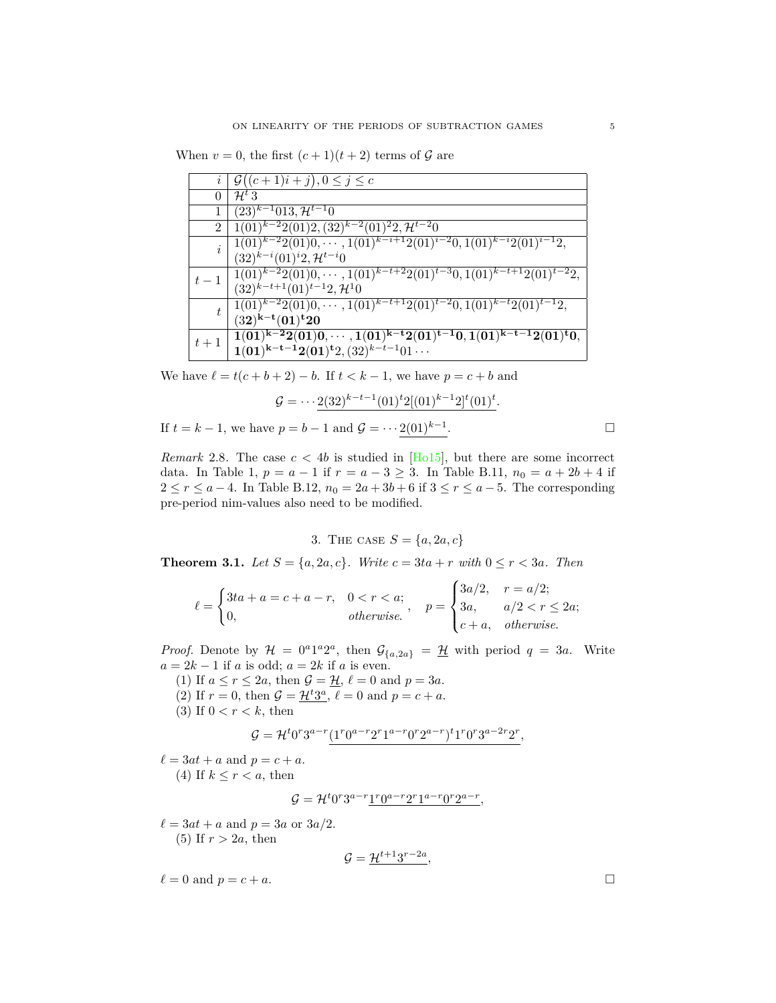When  $v = 0$ , the first  $(c+1)(t+2)$  terms of  $\mathcal G$  are

|                | $i \mid \mathcal{G}((c+1)i+j), 0 \leq j \leq c$                                        |
|----------------|----------------------------------------------------------------------------------------|
| 0              | $\mathcal{H}^t$ 3                                                                      |
| $1\,$          | $(23)^{k-1}013, \mathcal{H}^{t-1}0$                                                    |
| $\overline{2}$ | $1(01)^{k-2}2(01)2, (32)^{k-2}(01)^22, \mathcal{H}^{t-2}0$                             |
| $\dot{i}$      | $1(01)^{k-2}2(01)0,\cdots,1(01)^{k-i+1}2(01)^{i-2}0,1(01)^{k-i}2(01)^{i-1}2,$          |
|                | $(32)^{k-i}(01)^{i}2, \mathcal{H}^{t-i}0$                                              |
| $t-1$          | $1(01)^{k-2}2(01)0,\cdots,1(01)^{k-t+2}2(01)^{t-3}0,1(01)^{k-t+1}2(01)^{t-2}2,$        |
|                | $(32)^{k-t+1}(01)^{t-1}2, \mathcal{H}^10$                                              |
|                | $1(01)^{k-2}2(01)0,\cdots,1(01)^{k-t+1}2(01)^{t-2}0,1(01)^{k-t}2(01)^{t-1}2,$          |
|                | $(32)^{k-t}(01)^{t}20$                                                                 |
| $t+1$          | $1(01)^{k-2}2(01)\overline{0,\cdots,1(01)^{k-t}2(01)^{t-1}0,1(01)^{k-t-1}2(01)^{t}0,}$ |
|                | $1(01)^{k-t-1}2(01)^{t}2, (32)^{k-t-1}01 \cdots$                                       |

We have  $\ell = t(c + b + 2) - b$ . If  $t < k - 1$ , we have  $p = c + b$  and

$$
\mathcal{G} = \cdots 2(32)^{k-t-1}(01)^{t}2[(01)^{k-1}2]^{t}(01)^{t}.
$$
  
If  $t = k - 1$ , we have  $p = b - 1$  and  $\mathcal{G} = \cdots 2(01)^{k-1}$ .

*Remark* 2.8. The case  $c < 4b$  is studied in [[Ho15](#page-9-4)], but there are some incorrect data. In Table 1,  $p = a - 1$  if  $r = a - 3 \ge 3$ . In Table B.11,  $n_0 = a + 2b + 4$  if 2 *≤ r ≤ a −* 4. In Table B.12, *n*<sup>0</sup> = 2*a* + 3*b* + 6 if 3 *≤ r ≤ a −* 5. The corresponding pre-period nim-values also need to be modified.

3. THE CASE 
$$
S = \{a, 2a, c\}
$$

<span id="page-4-1"></span><span id="page-4-0"></span>**Theorem 3.1.** *Let*  $S = \{a, 2a, c\}$ *. Write*  $c = 3ta + r$  *with*  $0 \le r < 3a$ *. Then* 

$$
\ell = \begin{cases} 3ta + a = c + a - r, & 0 < r < a; \\ 0, & \text{otherwise.} \end{cases}, \quad p = \begin{cases} 3a/2, & r = a/2; \\ 3a, & a/2 < r \le 2a; \\ c + a, & \text{otherwise.} \end{cases}
$$

*Proof.* Denote by  $\mathcal{H} = 0^a 1^a 2^a$ , then  $\mathcal{G}_{\{a,2a\}} = \mathcal{H}$  with period  $q = 3a$ . Write  $a = 2k - 1$  if *a* is odd;  $a = 2k$  if *a* is even.

- (1) If  $a \le r \le 2a$ , then  $\mathcal{G} = \mathcal{H}$ ,  $\ell = 0$  and  $p = 3a$ .
- (2) If  $r = 0$ , then  $\mathcal{G} = \mathcal{H}^t 3^a$ ,  $\ell = 0$  and  $p = c + a$ .
- (3) If  $0 < r < k$ , then

$$
\mathcal{G} = \mathcal{H}^t 0^r 3^{a-r} (1^r 0^{a-r} 2^r 1^{a-r} 0^r 2^{a-r})^t 1^r 0^r 3^{a-2r} 2^r,
$$

*,*

 $\ell = 3at + a$  and  $p = c + a$ . (4) If  $k \leq r < a$ , then

$$
\mathcal{G}=\mathcal{H}^t0^r3^{a-r}1^r0^{a-r}2^r1^{a-r}0^r2^{a-r}
$$

 $\ell = 3at + a$  and  $p = 3a$  or  $3a/2$ .

(5) If  $r > 2a$ , then

$$
\mathcal{G} = \mathcal{H}^{t+1} 3^{r-2a},
$$

 $\ell = 0$  and  $p = c + a$ .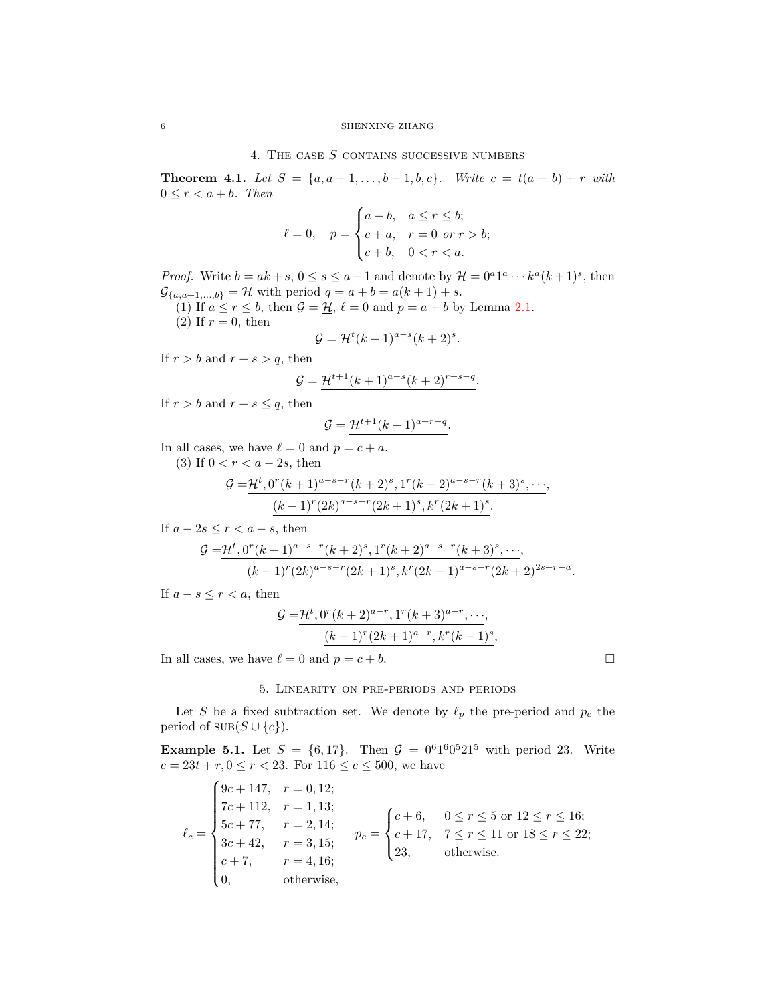# 4. The case *S* contains successive numbers

<span id="page-5-2"></span><span id="page-5-0"></span>**Theorem 4.1.** *Let*  $S = \{a, a+1, \ldots, b-1, b, c\}$ *. Write*  $c = t(a+b) + r$  *with*  $0 \leq r < a + b$ *. Then* 

$$
\ell = 0, \quad p = \begin{cases} a+b, & a \le r \le b; \\ c+a, & r = 0 \text{ or } r > b; \\ c+b, & 0 < r < a. \end{cases}
$$

*Proof.* Write  $b = ak + s$ ,  $0 \le s \le a - 1$  and denote by  $\mathcal{H} = 0^a 1^a \cdots k^a (k+1)^s$ , then  $\mathcal{G}_{\{a,a+1,...,b\}} = \underline{\mathcal{H}}$  with period  $q = a + b = a(k+1) + s$ .

(1) If  $a \leq r \leq b$ , then  $\mathcal{G} = \mathcal{H}$ ,  $\ell = 0$  and  $p = a + b$  by Lemma [2.1](#page-1-1).

 $(2)$  If  $r = 0$ , then

$$
\mathcal{G} = \underline{\mathcal{H}}^t (k+1)^{a-s} (k+2)^s.
$$

If  $r > b$  and  $r + s > q$ , then

$$
\mathcal{G} = \mathcal{H}^{t+1}(k+1)^{a-s}(k+2)^{r+s-q}.
$$

If  $r > b$  and  $r + s \leq q$ , then

$$
\mathcal{G} = \mathcal{H}^{t+1}(k+1)^{a+r-q}.
$$

In all cases, we have  $\ell = 0$  and  $p = c + a$ .

(3) If  $0 < r < a - 2s$ , then

$$
\mathcal{G} = \frac{\mathcal{H}^t, 0^r(k+1)^{a-s-r}(k+2)^s, 1^r(k+2)^{a-s-r}(k+3)^s, \cdots, (k-1)^r(2k)^{a-s-r}(2k+1)^s, k^r(2k+1)^s}{{(k-1)}^r(2k)^{a-s-r}(2k+1)^s, k^r(2k+1)^s}.
$$

If  $a - 2s \leq r < a - s$ , then

$$
\mathcal{G} = \frac{\mathcal{H}^t, 0^r (k+1)^{a-s-r} (k+2)^s, 1^r (k+2)^{a-s-r} (k+3)^s, \cdots, (k-1)^r (2k)^{a-s-r} (2k+1)^s, k^r (2k+1)^{a-s-r} (2k+2)^{2s+r-a}}{(k-1)^r (2k)^{a-s-r} (2k+1)^s, k^r (2k+1)^{a-s-r} (2k+2)^{2s+r-a}}.
$$

If  $a - s \leq r < a$ , then

$$
\mathcal{G} = \frac{\mathcal{H}^t, 0^r(k+2)^{a-r}, 1^r(k+3)^{a-r}, \cdots, (k-1)^r(2k+1)^{a-r}, k^r(k+1)^s,
$$

In all cases, we have  $\ell = 0$  and  $p = c + b$ .

## 5. Linearity on pre-periods and periods

<span id="page-5-1"></span>Let *S* be a fixed subtraction set. We denote by  $\ell_p$  the pre-period and  $p_c$  the period of  $\text{SUB}(S \cup \{c\})$ .

**Example 5.1.** Let  $S = \{6, 17\}$ . Then  $G = 0^6 1^6 0^5 21^5$  with period 23. Write  $c = 23t + r, 0 \le r < 23$ . For  $116 \le c \le 500$ , we have

$$
\ell_c = \begin{cases} 9c + 147, & r = 0, 12; \\ 7c + 112, & r = 1, 13; \\ 5c + 77, & r = 2, 14; \\ 3c + 42, & r = 3, 15; \\ c + 7, & r = 4, 16; \\ 0, & \text{otherwise,} \end{cases} \quad p_c = \begin{cases} c + 6, & 0 \le r \le 5 \text{ or } 12 \le r \le 16; \\ c + 17, & 7 \le r \le 11 \text{ or } 18 \le r \le 22; \\ 23, & \text{otherwise.} \end{cases}
$$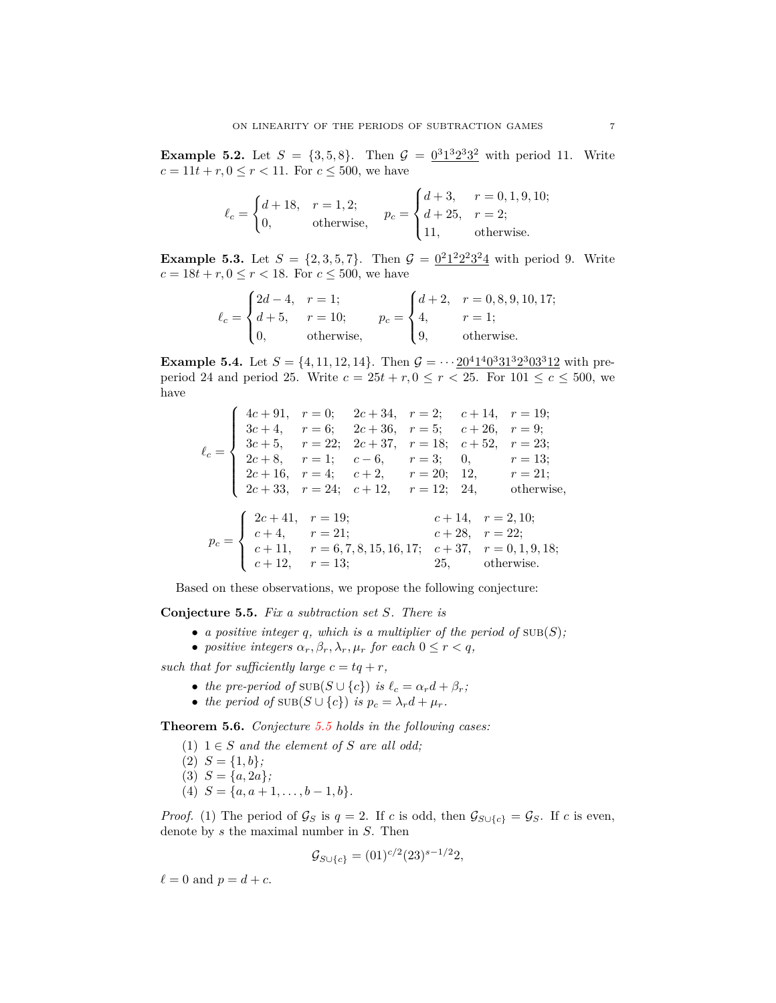**Example 5.2.** Let  $S = \{3, 5, 8\}$ . Then  $\mathcal{G} = 0^3 1^3 2^3 3^2$  with period 11. Write  $c = 11t + r, 0 \le r < 11$ . For  $c \le 500$ , we have

$$
\ell_c = \begin{cases} d+18, & r = 1,2; \\ 0, & \text{otherwise,} \end{cases} \quad p_c = \begin{cases} d+3, & r = 0,1,9,10; \\ d+25, & r = 2; \\ 11, & \text{otherwise.} \end{cases}
$$

**Example 5.3.** Let  $S = \{2, 3, 5, 7\}$ . Then  $\mathcal{G} = 0^2 1^2 2^2 3^2 4$  with period 9. Write  $c = 18t + r, 0 \le r \le 18$ . For  $c \le 500$ , we have

$$
\ell_c = \begin{cases} 2d-4, & r = 1; \\ d+5, & r = 10; \\ 0, & \text{otherwise,} \end{cases} \quad p_c = \begin{cases} d+2, & r = 0,8,9,10,17; \\ 4, & r = 1; \\ 9, & \text{otherwise.} \end{cases}
$$

**Example 5.4.** Let  $S = \{4, 11, 12, 14\}$ . Then  $\mathcal{G} = \cdots 20^4 1^4 0^3 31^3 2^3 03^3 12$  with preperiod 24 and period 25. Write  $c = 25t + r, 0 \le r < 25$ . For  $101 \le c \le 500$ , we have

 $\ell_c =$  $\sqrt{ }$  $\Bigg\}$  $\overline{\mathcal{L}}$  $4c + 91$ ,  $r = 0$ ;  $2c + 34$ ,  $r = 2$ ;  $c + 14$ ,  $r = 19$ ;  $3c + 4$ ,  $r = 6$ ;  $2c + 36$ ,  $r = 5$ ;  $c + 26$ ,  $r = 9$ ;  $3c + 5$ ,  $r = 22$ ;  $2c + 37$ ,  $r = 18$ ;  $c + 52$ ,  $r = 23$ ;  $2c + 8$ ,  $r = 1$ ;  $c - 6$ ,  $r = 3$ ; 0,  $r = 13$ ;  $2c + 16$ ,  $r = 4$ ;  $c + 2$ ,  $r = 20$ ; 12,  $r = 21$ ;  $2c + 33$ ,  $r = 24$ ;  $c + 12$ ,  $r = 12$ ; 24, otherwise,  $p_c =$  $\sqrt{ }$  $\int$  $\overline{a}$  $2c + 41$ ,  $r = 19$ ;  $c + 14$ ,  $r = 2, 10$ ;  $c + 4$ ,  $r = 21$ ;  $c + 28$ ,  $r = 22$ ;  $c + 11$ ,  $r = 6, 7, 8, 15, 16, 17$ ;  $c + 37$ ,  $r = 0, 1, 9, 18$ ;  $c + 12$ ,  $r = 13$ ; 25, otherwise.

Based on these observations, we propose the following conjecture:

<span id="page-6-0"></span>**Conjecture 5.5.** *Fix a subtraction set S. There is*

- *a positive integer*  $q$ *, which is a multiplier of the period of*  $\text{SUB}(S)$ *;*
- *positive integers*  $\alpha_r, \beta_r, \lambda_r, \mu_r$  *for each*  $0 \leq r < q$ *,*

*such that for sufficiently large*  $c = tq + r$ ,

- *the pre-period of*  $\text{SUB}(S \cup \{c\})$  *is*  $\ell_c = \alpha_r d + \beta_r$ ;
- *the period of*  $\text{SUB}(S \cup \{c\})$  *is*  $p_c = \lambda_r d + \mu_r$ *.*

**Theorem 5.6.** *Conjecture [5.5](#page-6-0) holds in the following cases:*

- (1)  $1 \in S$  *and the element of S are all odd;*
- $(2)$   $S = \{1, b\}$ ;
- $(S)$   $S = \{a, 2a\}$ ;
- $(4)$  *S* = {*a*, *a* + 1, . . . , *b* − 1, *b*}*.*

*Proof.* (1) The period of  $\mathcal{G}_S$  is  $q = 2$ . If *c* is odd, then  $\mathcal{G}_{S \cup \{c\}} = \mathcal{G}_S$ . If *c* is even, denote by *s* the maximal number in *S*. Then

$$
\mathcal{G}_{S \cup \{c\}} = (01)^{c/2} (23)^{s-1/2} 2,
$$

 $l = 0$  and  $p = d + c$ .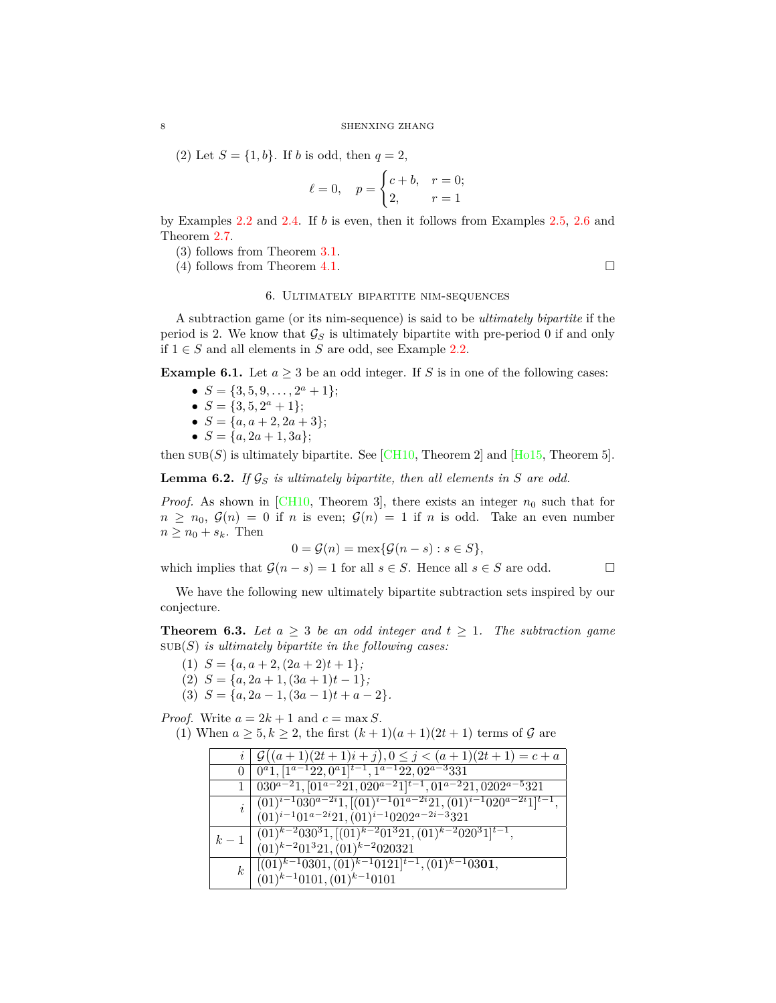(2) Let  $S = \{1, b\}$ . If *b* is odd, then  $q = 2$ ,

$$
\ell = 0
$$
,  $p = \begin{cases} c+b, & r = 0; \\ 2, & r = 1 \end{cases}$ 

by Examples [2.2](#page-1-2) and [2.4](#page-2-0). If *b* is even, then it follows from Examples [2.5](#page-2-1), [2.6](#page-2-2) and Theorem [2.7](#page-2-3).

(3) follows from Theorem [3.1.](#page-4-1)

(4) follows from Theorem [4.1.](#page-5-2)

## 6. Ultimately bipartite nim-sequences

<span id="page-7-0"></span>A subtraction game (or its nim-sequence) is said to be *ultimately bipartite* if the period is 2. We know that  $\mathcal{G}_S$  is ultimately bipartite with pre-period 0 if and only if 1 *∈ S* and all elements in *S* are odd, see Example [2.2.](#page-1-2)

**Example 6.1.** Let  $a \geq 3$  be an odd integer. If *S* is in one of the following cases:

- $S = \{3, 5, 9, \ldots, 2^a + 1\};$
- $S = \{3, 5, 2^a + 1\};$
- $S = \{a, a+2, 2a+3\};\$
- $S = \{a, 2a + 1, 3a\};\$

then  $SUB(S)$  is ultimately bipartite. See [[CH10](#page-9-2), Theorem 2] and [[Ho15](#page-9-4), Theorem 5].

**Lemma 6.2.** *If*  $\mathcal{G}_S$  *is ultimately bipartite, then all elements in*  $S$  *are odd.* 

*Proof.* As shown in [[CH10,](#page-9-2) Theorem 3], there exists an integer  $n_0$  such that for  $n \geq n_0$ ,  $\mathcal{G}(n) = 0$  if *n* is even;  $\mathcal{G}(n) = 1$  if *n* is odd. Take an even number  $n \geq n_0 + s_k$ . Then

$$
0 = \mathcal{G}(n) = \max\{\mathcal{G}(n-s) : s \in S\},\
$$

which implies that  $G(n - s) = 1$  for all  $s \in S$ . Hence all  $s \in S$  are odd. □

We have the following new ultimately bipartite subtraction sets inspired by our conjecture.

**Theorem 6.3.** Let  $a \geq 3$  be an odd integer and  $t \geq 1$ . The subtraction game  $SUB(S)$  *is ultimately bipartite in the following cases:* 

- $(1)$   $S = \{a, a+2, (2a+2)t+1\};$
- $(2)$   $S = \{a, 2a + 1, (3a + 1)t 1\}$ ;
- (3)  $S = \{a, 2a 1, (3a 1)t + a 2\}.$

*Proof.* Write  $a = 2k + 1$  and  $c = \max S$ .

(1) When  $a \geq 5, k \geq 2$ , the first  $(k+1)(a+1)(2t+1)$  terms of  $\mathcal G$  are

|       | $i   \mathcal{G}((a+1)(2t+1)i + j), 0 \leq j < (a+1)(2t+1) = c + a$                 |
|-------|-------------------------------------------------------------------------------------|
|       | 0   $0^a1$ , $[1^{a-1}22, 0^a1]^{t-1}$ , $1^{a-1}22, 02^{a-3}331$                   |
|       | $1   030^{a-2}1, [01^{a-2}21, 020^{a-2}1]^{t-1}, 01^{a-2}21, 0202^{a-5}321$         |
|       | $(01)^{i-1}030^{a-2i}1, [(01)^{i-1}01^{a-2i}21, (01)^{i-1}020^{a-2i}1]^{t-1},$      |
|       | $(01)^{i-1}01^{a-2i}21$ , $(01)^{i-1}0202^{a-2i-3}321$                              |
| $k-1$ | $\sqrt{(01)^{k-2}}030^31, \sqrt{(01)^{k-2}}01^321, \sqrt{(01)^{k-2}}020^31]^{t-1},$ |
|       | $(01)^{k-2}01^321, (01)^{k-2}020321$                                                |
|       | $[(01)^{k-1}0301, (01)^{k-1}0121]^{t-1}, (01)^{k-1}0301,$                           |
|       | $k \mid \frac{10^{k}}{(01)^{k-1}0101}$ , $(01)^{k-1}0101$                           |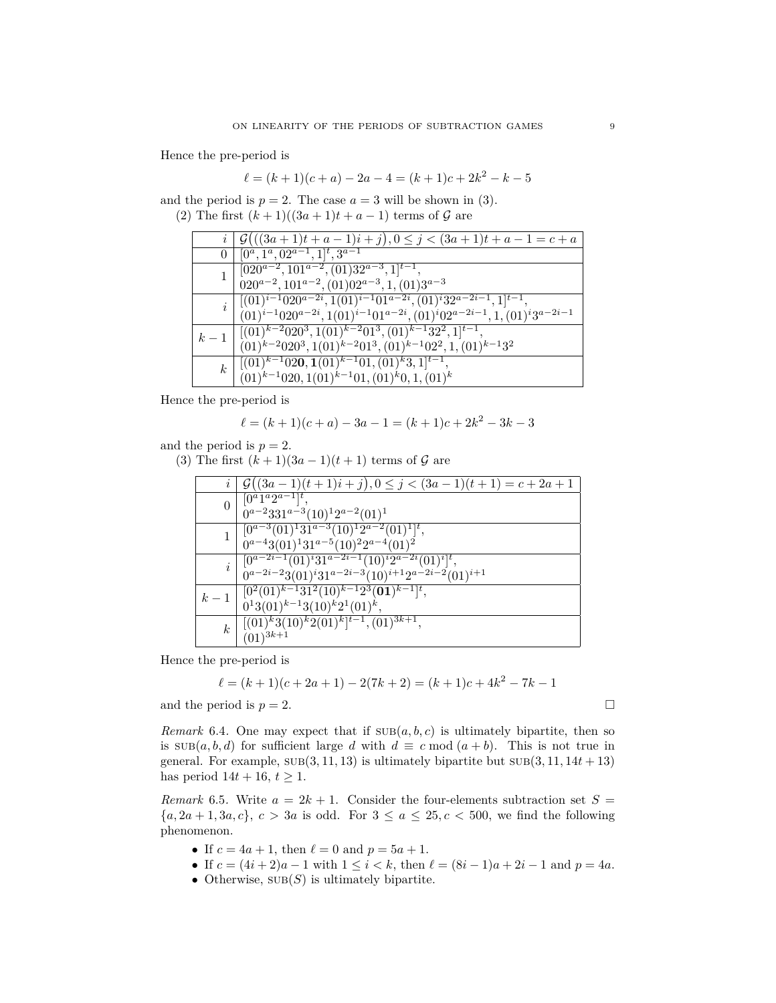Hence the pre-period is

$$
\ell = (k+1)(c+a) - 2a - 4 = (k+1)c + 2k^2 - k - 5
$$

and the period is  $p = 2$ . The case  $a = 3$  will be shown in (3). (2) The first  $(k + 1)((3a + 1)t + a - 1)$  terms of  $G$  are

|                  | $i   \mathcal{G}(((3a+1)t+a-1)i+j), 0 \leq j < (3a+1)t+a-1 = c+a$                      |
|------------------|----------------------------------------------------------------------------------------|
|                  | 0   $[0^a, 1^a, 02^{a-1}, 1]^t, 3^{a-1}$                                               |
|                  | $[020^{a-2}, 101^{a-2}, (01)32^{a-3}, 1]^{t-1},$                                       |
|                  | $020^{a-2}$ , $101^{a-2}$ , $(01)02^{a-3}$ , $1$ , $(01)3^{a-3}$                       |
|                  | $[(01)^{i-1}020^{a-2i}, 1(01)^{i-1}01^{a-2i}, (01)^{i}32^{a-2i-1}, 1]^{t-1},$          |
|                  | $(01)^{i-1}020^{a-2i}, 1(01)^{i-1}01^{a-2i}, 01)^{i}02^{a-2i-1}, 1, 01)^{i}3^{a-2i-1}$ |
| $k-1$            | $\left[ (01)^{k-2}020^3, 1(01)^{k-2}01^3, (01)^{k-1}32^2, 1 \right]^{t-1},$            |
|                  | $(01)^{k-2}020^3, 1(01)^{k-2}01^3, (01)^{k-1}02^2, 1, (01)^{k-1}3^2$                   |
| $\boldsymbol{k}$ | $[(01)^{k-1}020, 1(01)^{k-1}01, (01)^{k}3, 1]^{t-1},$                                  |
|                  | $(01)^{k-1}020, 1(01)^{k-1}01, (01)^{k}0, 1, (01)^{k}$                                 |

Hence the pre-period is

$$
\ell = (k+1)(c+a) - 3a - 1 = (k+1)c + 2k^2 - 3k - 3
$$

and the period is  $p = 2$ .

(3) The first  $(k + 1)(3a - 1)(t + 1)$  terms of  $G$  are

| $\imath$         | $\mathcal{G}((3a-1)(t+1)i+j), 0 \leq j < (3a-1)(t+1) = c+2a+1$ |
|------------------|----------------------------------------------------------------|
| $\overline{0}$   | $[0^a 1^a 2^{a-1}]^t$ .                                        |
|                  | $0^{a-2}331^{a-3}(10)^{1}2^{a-2}(01)^{1}$                      |
| 1                | $[0^{a-3}(01)^{1}31^{a-3}(10)^{1}2^{a-2}(01)^{1}]^{t}$ ,       |
|                  | $0^{a-4}3(01)^{1}31^{a-5}(10)^{2}2^{a-4}(01)^{2}$              |
| $\it i$          | $[0^{a-2i-1}(01)^i 31^{a-2i-1}(10)^i 2^{a-2i}(01)^i]$          |
|                  | $0^{a-2i-2}3(01)^{i}31^{a-2i-3}(10)^{i+1}2^{a-2i-2}(01)^{i+1}$ |
| $k-1$            | $\mid [0^2(01)^{k-1}31^2(10)^{k-1}2^3(01)^{k-1}]^t,$           |
|                  | $0^13(01)^{k-1}3(10)^k2^1(01)^k$ ,                             |
| $\boldsymbol{k}$ | $[(01)^k 3(10)^k 2(01)^k]^{t-1}, (01)^{3k+1}$                  |
|                  | $(01)^{3k+1}$                                                  |

Hence the pre-period is

$$
\ell = (k+1)(c+2a+1) - 2(7k+2) = (k+1)c + 4k^2 - 7k - 1
$$

and the period is  $p = 2$ .

*Remark* 6.4. One may expect that if  $\text{SUB}(a, b, c)$  is ultimately bipartite, then so is  $\text{SUB}(a, b, d)$  for sufficient large *d* with  $d \equiv c \mod(a + b)$ . This is not true in general. For example,  $SUB(3, 11, 13)$  is ultimately bipartite but  $SUB(3, 11, 14t + 13)$ has period  $14t + 16, t \ge 1$ .

*Remark* 6.5. Write  $a = 2k + 1$ . Consider the four-elements subtraction set  $S =$  ${a, 2a + 1, 3a, c}$ ,  $c > 3a$  is odd. For  $3 \le a \le 25, c < 500$ , we find the following phenomenon.

- If  $c = 4a + 1$ , then  $\ell = 0$  and  $p = 5a + 1$ .
- *•* If *c* = (4*i* + 2)*a −* 1 with 1 *≤ i < k*, then *ℓ* = (8*i −* 1)*a* + 2*i −* 1 and *p* = 4*a*.
- Otherwise,  $SUB(S)$  is ultimately bipartite.